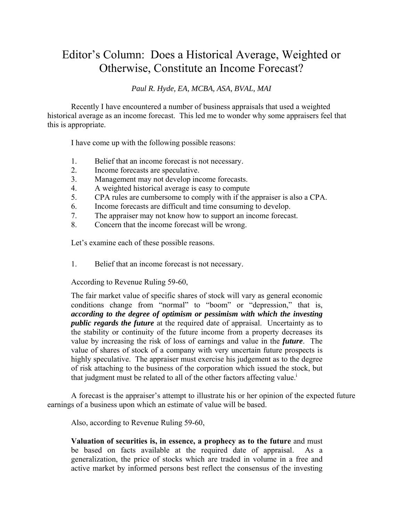## Editor's Column: Does a Historical Average, Weighted or Otherwise, Constitute an Income Forecast?

*Paul R. Hyde, EA, MCBA, ASA, BVAL, MAI* 

Recently I have encountered a number of business appraisals that used a weighted historical average as an income forecast. This led me to wonder why some appraisers feel that this is appropriate.

I have come up with the following possible reasons:

- 1. Belief that an income forecast is not necessary.
- 2. Income forecasts are speculative.
- 3. Management may not develop income forecasts.
- 4. A weighted historical average is easy to compute
- 5. CPA rules are cumbersome to comply with if the appraiser is also a CPA.
- 6. Income forecasts are difficult and time consuming to develop.
- 7. The appraiser may not know how to support an income forecast.
- 8. Concern that the income forecast will be wrong.

Let's examine each of these possible reasons.

1. Belief that an income forecast is not necessary.

According to Revenue Ruling 59-60,

The fair market value of specific shares of stock will vary as general economic conditions change from "normal" to "boom" or "depression," that is, *according to the degree of optimism or pessimism with which the investing public regards the future* at the required date of appraisal. Uncertainty as to the stability or continuity of the future income from a property decreases its value by increasing the risk of loss of earnings and value in the *future*. The value of shares of stock of a company with very uncertain future prospects is highly speculative. The appraiser must exercise his judgement as to the degree of risk attaching to the business of the corporation which issued the stock, but that judgment must be related to all of the other factors affecting value.<sup>i</sup>

A forecast is the appraiser's attempt to illustrate his or her opinion of the expected future earnings of a business upon which an estimate of value will be based.

Also, according to Revenue Ruling 59-60,

**Valuation of securities is, in essence, a prophecy as to the future** and must be based on facts available at the required date of appraisal. As a generalization, the price of stocks which are traded in volume in a free and active market by informed persons best reflect the consensus of the investing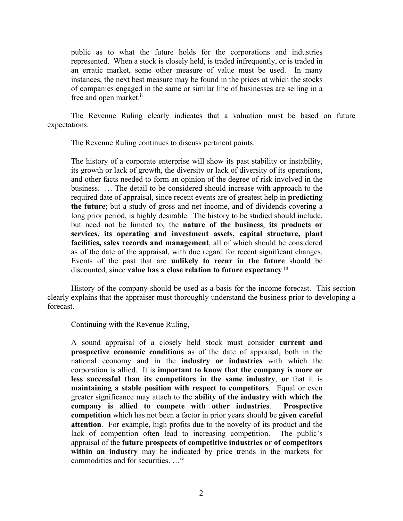public as to what the future holds for the corporations and industries represented. When a stock is closely held, is traded infrequently, or is traded in an erratic market, some other measure of value must be used. In many instances, the next best measure may be found in the prices at which the stocks of companies engaged in the same or similar line of businesses are selling in a free and open market.<sup>ii</sup>

The Revenue Ruling clearly indicates that a valuation must be based on future expectations.

The Revenue Ruling continues to discuss pertinent points.

The history of a corporate enterprise will show its past stability or instability, its growth or lack of growth, the diversity or lack of diversity of its operations, and other facts needed to form an opinion of the degree of risk involved in the business. … The detail to be considered should increase with approach to the required date of appraisal, since recent events are of greatest help in **predicting the future**; but a study of gross and net income, and of dividends covering a long prior period, is highly desirable. The history to be studied should include, but need not be limited to, the **nature of the business**, **its products or services, its operating and investment assets, capital structure, plant facilities, sales records and management**, all of which should be considered as of the date of the appraisal, with due regard for recent significant changes. Events of the past that are **unlikely to recur in the future** should be discounted, since **value has a close relation to future expectancy**. iii

History of the company should be used as a basis for the income forecast. This section clearly explains that the appraiser must thoroughly understand the business prior to developing a forecast.

Continuing with the Revenue Ruling,

A sound appraisal of a closely held stock must consider **current and prospective economic conditions** as of the date of appraisal, both in the national economy and in the **industry or industries** with which the corporation is allied. It is **important to know that the company is more or less successful than its competitors in the same industry**, **or** that it is **maintaining a stable position with respect to competitors**. Equal or even greater significance may attach to the **ability of the industry with which the company is allied to compete with other industries**. **Prospective competition** which has not been a factor in prior years should be **given careful attention**. For example, high profits due to the novelty of its product and the lack of competition often lead to increasing competition. The public's appraisal of the **future prospects of competitive industries or of competitors within an industry** may be indicated by price trends in the markets for commodities and for securities. …iv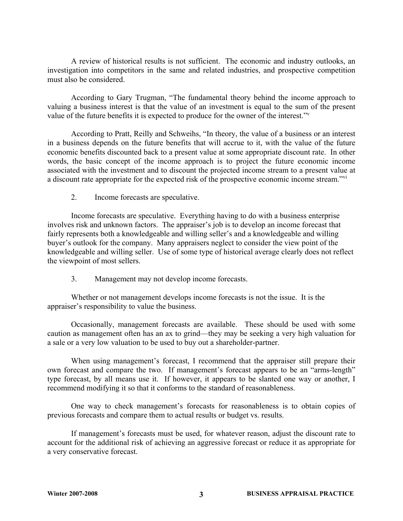A review of historical results is not sufficient. The economic and industry outlooks, an investigation into competitors in the same and related industries, and prospective competition must also be considered.

According to Gary Trugman, "The fundamental theory behind the income approach to valuing a business interest is that the value of an investment is equal to the sum of the present value of the future benefits it is expected to produce for the owner of the interest."v

According to Pratt, Reilly and Schweihs, "In theory, the value of a business or an interest in a business depends on the future benefits that will accrue to it, with the value of the future economic benefits discounted back to a present value at some appropriate discount rate. In other words, the basic concept of the income approach is to project the future economic income associated with the investment and to discount the projected income stream to a present value at a discount rate appropriate for the expected risk of the prospective economic income stream."<sup>vi</sup>

2. Income forecasts are speculative.

Income forecasts are speculative. Everything having to do with a business enterprise involves risk and unknown factors. The appraiser's job is to develop an income forecast that fairly represents both a knowledgeable and willing seller's and a knowledgeable and willing buyer's outlook for the company. Many appraisers neglect to consider the view point of the knowledgeable and willing seller. Use of some type of historical average clearly does not reflect the viewpoint of most sellers.

3. Management may not develop income forecasts.

Whether or not management develops income forecasts is not the issue. It is the appraiser's responsibility to value the business.

Occasionally, management forecasts are available. These should be used with some caution as management often has an ax to grind—they may be seeking a very high valuation for a sale or a very low valuation to be used to buy out a shareholder-partner.

When using management's forecast, I recommend that the appraiser still prepare their own forecast and compare the two. If management's forecast appears to be an "arms-length" type forecast, by all means use it. If however, it appears to be slanted one way or another, I recommend modifying it so that it conforms to the standard of reasonableness.

One way to check management's forecasts for reasonableness is to obtain copies of previous forecasts and compare them to actual results or budget vs. results.

If management's forecasts must be used, for whatever reason, adjust the discount rate to account for the additional risk of achieving an aggressive forecast or reduce it as appropriate for a very conservative forecast.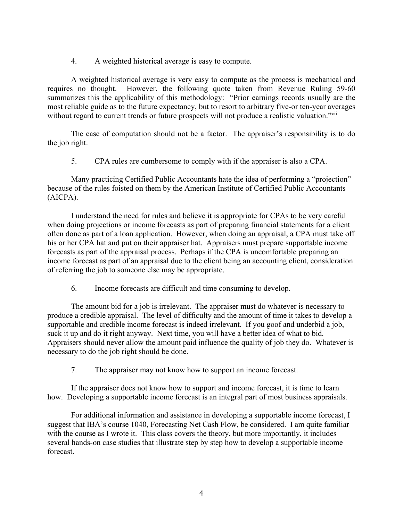4. A weighted historical average is easy to compute.

A weighted historical average is very easy to compute as the process is mechanical and requires no thought. However, the following quote taken from Revenue Ruling 59-60 summarizes this the applicability of this methodology: "Prior earnings records usually are the most reliable guide as to the future expectancy, but to resort to arbitrary five-or ten-year averages without regard to current trends or future prospects will not produce a realistic valuation."

The ease of computation should not be a factor. The appraiser's responsibility is to do the job right.

5. CPA rules are cumbersome to comply with if the appraiser is also a CPA.

Many practicing Certified Public Accountants hate the idea of performing a "projection" because of the rules foisted on them by the American Institute of Certified Public Accountants (AICPA).

I understand the need for rules and believe it is appropriate for CPAs to be very careful when doing projections or income forecasts as part of preparing financial statements for a client often done as part of a loan application. However, when doing an appraisal, a CPA must take off his or her CPA hat and put on their appraiser hat. Appraisers must prepare supportable income forecasts as part of the appraisal process. Perhaps if the CPA is uncomfortable preparing an income forecast as part of an appraisal due to the client being an accounting client, consideration of referring the job to someone else may be appropriate.

6. Income forecasts are difficult and time consuming to develop.

The amount bid for a job is irrelevant. The appraiser must do whatever is necessary to produce a credible appraisal. The level of difficulty and the amount of time it takes to develop a supportable and credible income forecast is indeed irrelevant. If you goof and underbid a job, suck it up and do it right anyway. Next time, you will have a better idea of what to bid. Appraisers should never allow the amount paid influence the quality of job they do. Whatever is necessary to do the job right should be done.

7. The appraiser may not know how to support an income forecast.

If the appraiser does not know how to support and income forecast, it is time to learn how. Developing a supportable income forecast is an integral part of most business appraisals.

For additional information and assistance in developing a supportable income forecast, I suggest that IBA's course 1040, Forecasting Net Cash Flow, be considered. I am quite familiar with the course as I wrote it. This class covers the theory, but more importantly, it includes several hands-on case studies that illustrate step by step how to develop a supportable income forecast.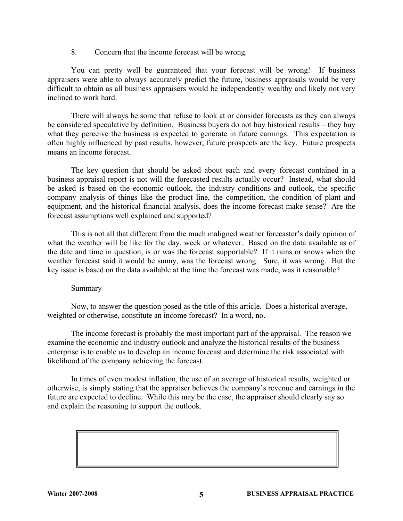8. Concern that the income forecast will be wrong.

You can pretty well be guaranteed that your forecast will be wrong! If business appraisers were able to always accurately predict the future, business appraisals would be very difficult to obtain as all business appraisers would be independently wealthy and likely not very inclined to work hard.

There will always be some that refuse to look at or consider forecasts as they can always be considered speculative by definition. Business buyers do not buy historical results – they buy what they perceive the business is expected to generate in future earnings. This expectation is often highly influenced by past results, however, future prospects are the key. Future prospects means an income forecast.

The key question that should be asked about each and every forecast contained in a business appraisal report is not will the forecasted results actually occur? Instead, what should be asked is based on the economic outlook, the industry conditions and outlook, the specific company analysis of things like the product line, the competition, the condition of plant and equipment, and the historical financial analysis, does the income forecast make sense? Are the forecast assumptions well explained and supported?

This is not all that different from the much maligned weather forecaster's daily opinion of what the weather will be like for the day, week or whatever. Based on the data available as of the date and time in question, is or was the forecast supportable? If it rains or snows when the weather forecast said it would be sunny, was the forecast wrong. Sure, it was wrong. But the key issue is based on the data available at the time the forecast was made, was it reasonable?

## Summary

Now, to answer the question posed as the title of this article. Does a historical average, weighted or otherwise, constitute an income forecast? In a word, no.

The income forecast is probably the most important part of the appraisal. The reason we examine the economic and industry outlook and analyze the historical results of the business enterprise is to enable us to develop an income forecast and determine the risk associated with likelihood of the company achieving the forecast.

In times of even modest inflation, the use of an average of historical results, weighted or otherwise, is simply stating that the appraiser believes the company's revenue and earnings in the future are expected to decline. While this may be the case, the appraiser should clearly say so and explain the reasoning to support the outlook.